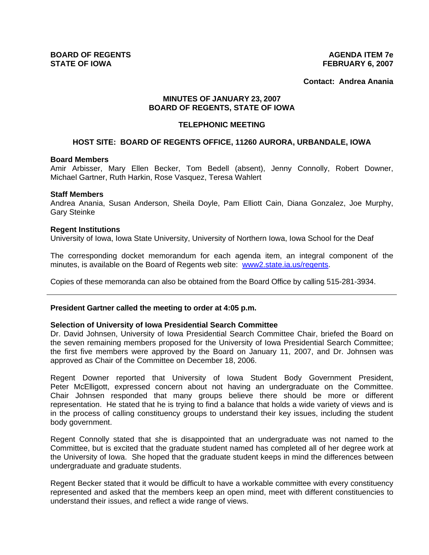**Contact: Andrea Anania**

# **MINUTES OF JANUARY 23, 2007 BOARD OF REGENTS, STATE OF IOWA**

#### **TELEPHONIC MEETING**

# **HOST SITE: BOARD OF REGENTS OFFICE, 11260 AURORA, URBANDALE, IOWA**

## **Board Members**

Amir Arbisser, Mary Ellen Becker, Tom Bedell (absent), Jenny Connolly, Robert Downer, Michael Gartner, Ruth Harkin, Rose Vasquez, Teresa Wahlert

#### **Staff Members**

Andrea Anania, Susan Anderson, Sheila Doyle, Pam Elliott Cain, Diana Gonzalez, Joe Murphy, Gary Steinke

#### **Regent Institutions**

University of Iowa, Iowa State University, University of Northern Iowa, Iowa School for the Deaf

The corresponding docket memorandum for each agenda item, an integral component of the minutes, is available on the Board of Regents web site: www2.state.ia.us/regents.

Copies of these memoranda can also be obtained from the Board Office by calling 515-281-3934.

## **President Gartner called the meeting to order at 4:05 p.m.**

#### **Selection of University of Iowa Presidential Search Committee**

Dr. David Johnsen, University of Iowa Presidential Search Committee Chair, briefed the Board on the seven remaining members proposed for the University of Iowa Presidential Search Committee; the first five members were approved by the Board on January 11, 2007, and Dr. Johnsen was approved as Chair of the Committee on December 18, 2006.

Regent Downer reported that University of Iowa Student Body Government President, Peter McElligott, expressed concern about not having an undergraduate on the Committee. Chair Johnsen responded that many groups believe there should be more or different representation. He stated that he is trying to find a balance that holds a wide variety of views and is in the process of calling constituency groups to understand their key issues, including the student body government.

Regent Connolly stated that she is disappointed that an undergraduate was not named to the Committee, but is excited that the graduate student named has completed all of her degree work at the University of Iowa. She hoped that the graduate student keeps in mind the differences between undergraduate and graduate students.

Regent Becker stated that it would be difficult to have a workable committee with every constituency represented and asked that the members keep an open mind, meet with different constituencies to understand their issues, and reflect a wide range of views.